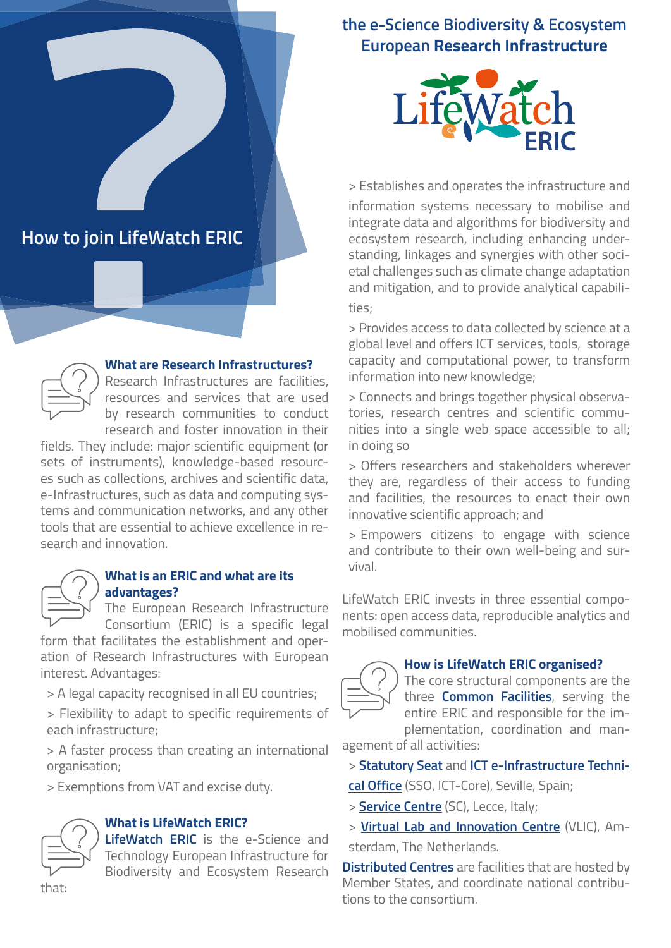# **the e-Science Biodiversity & Ecosystem European Research Infrastructure**



**How to join LifeWatch ERIC**



#### **What are Research Infrastructures?**

Research Infrastructures are facilities, resources and services that are used by research communities to conduct research and foster innovation in their

fields. They include: major scientific equipment (or sets of instruments), knowledge-based resources such as collections, archives and scientific data, e-Infrastructures, such as data and computing systems and communication networks, and any other tools that are essential to achieve excellence in research and innovation.



#### **What is an ERIC and what are its advantages?**

The European Research Infrastructure Consortium (ERIC) is a specific legal

form that facilitates the establishment and operation of Research Infrastructures with European interest. Advantages:

> A legal capacity recognised in all EU countries;

> Flexibility to adapt to specific requirements of each infrastructure;

> A faster process than creating an international organisation;

> Exemptions from VAT and excise duty.



#### **What is LifeWatch ERIC?**

**LifeWatch ERIC** is the e-Science and Technology European Infrastructure for Biodiversity and Ecosystem Research

> Establishes and operates the infrastructure and information systems necessary to mobilise and integrate data and algorithms for biodiversity and ecosystem research, including enhancing understanding, linkages and synergies with other societal challenges such as climate change adaptation and mitigation, and to provide analytical capabilities;

> Provides access to data collected by science at a global level and offers ICT services, tools, storage capacity and computational power, to transform information into new knowledge;

> Connects and brings together physical observatories, research centres and scientific communities into a single web space accessible to all; in doing so

> Offers researchers and stakeholders wherever they are, regardless of their access to funding and facilities, the resources to enact their own innovative scientific approach; and

> Empowers citizens to engage with science and contribute to their own well-being and survival.

LifeWatch ERIC invests in three essential components: open access data, reproducible analytics and mobilised communities.



#### **How is LifeWatch ERIC organised?**

The core structural components are the three **Common Facilities**, serving the entire ERIC and responsible for the implementation, coordination and man-

agement of all activities:

> **[Statutory Seat](https://www.lifewatch.eu/statutory-seat)** and **[ICT e-Infrastructure Techni-](https://www.lifewatch.eu/statutory-seat)**

**[cal Office](https://www.lifewatch.eu/statutory-seat)** (SSO, ICT-Core), Seville, Spain;

> **[Service Centre](https://www.lifewatch.eu/service-centre)** (SC), Lecce, Italy;

> **[Virtual Lab and Innovation Centre](https://www.lifewatch.eu/vlabs-innovations-centre)** (VLIC), Am-

sterdam, The Netherlands.

**Distributed Centres** are facilities that are hosted by Member States, and coordinate national contributions to the consortium.

that: